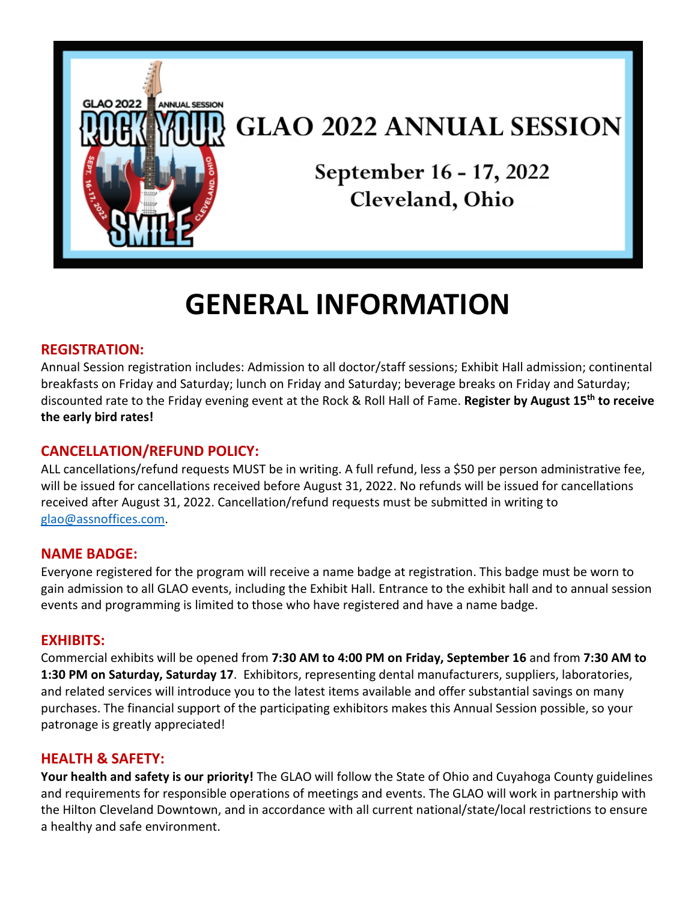

## **GLAO 2022 ANNUAL SESSION**

September 16 - 17, 2022 Cleveland, Ohio

# **GENERAL INFORMATION**

## **REGISTRATION:**

Annual Session registration includes: Admission to all doctor/staff sessions; Exhibit Hall admission; continental breakfasts on Friday and Saturday; lunch on Friday and Saturday; beverage breaks on Friday and Saturday; discounted rate to the Friday evening event at the Rock & Roll Hall of Fame. **Register by August 15th to receive the early bird rates!**

## **CANCELLATION/REFUND POLICY:**

ALL cancellations/refund requests MUST be in writing. A full refund, less a \$50 per person administrative fee, will be issued for cancellations received before August 31, 2022. No refunds will be issued for cancellations received after August 31, 2022. Cancellation/refund requests must be submitted in writing to [glao@assnoffices.com.](mailto:glao@assnoffices.com)

#### **NAME BADGE:**

Everyone registered for the program will receive a name badge at registration. This badge must be worn to gain admission to all GLAO events, including the Exhibit Hall. Entrance to the exhibit hall and to annual session events and programming is limited to those who have registered and have a name badge.

#### **EXHIBITS:**

Commercial exhibits will be opened from **7:30 AM to 4:00 PM on Friday, September 16** and from **7:30 AM to 1:30 PM on Saturday, Saturday 17**. Exhibitors, representing dental manufacturers, suppliers, laboratories, and related services will introduce you to the latest items available and offer substantial savings on many purchases. The financial support of the participating exhibitors makes this Annual Session possible, so your patronage is greatly appreciated!

## **HEALTH & SAFETY:**

**Your health and safety is our priority!** The GLAO will follow the State of Ohio and Cuyahoga County guidelines and requirements for responsible operations of meetings and events. The GLAO will work in partnership with the Hilton Cleveland Downtown, and in accordance with all current national/state/local restrictions to ensure a healthy and safe environment.